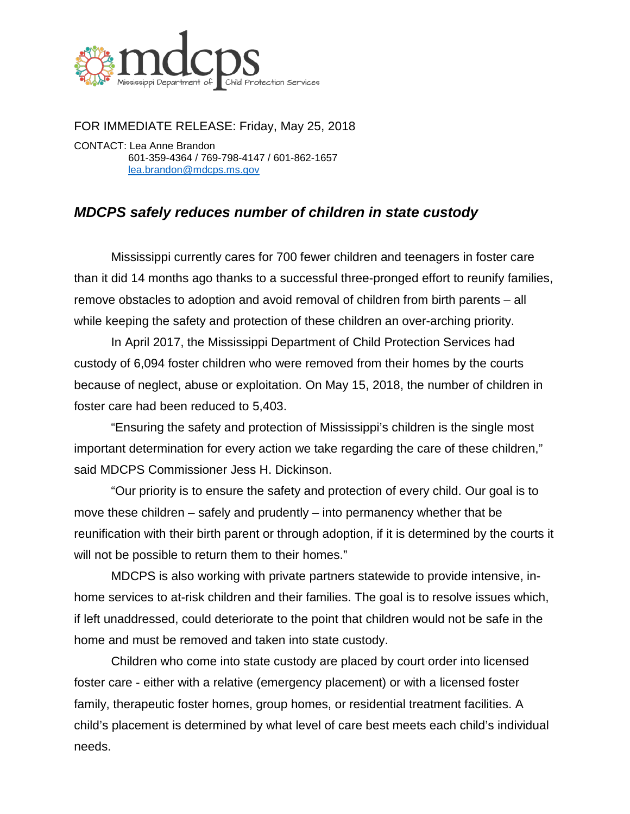

FOR IMMEDIATE RELEASE: Friday, May 25, 2018 CONTACT: Lea Anne Brandon 601-359-4364 / 769-798-4147 / 601-862-1657

[lea.brandon@mdcps.ms.gov](mailto:lea.brandon@mdcps.ms.gov)

## *MDCPS safely reduces number of children in state custody*

Mississippi currently cares for 700 fewer children and teenagers in foster care than it did 14 months ago thanks to a successful three-pronged effort to reunify families, remove obstacles to adoption and avoid removal of children from birth parents – all while keeping the safety and protection of these children an over-arching priority.

In April 2017, the Mississippi Department of Child Protection Services had custody of 6,094 foster children who were removed from their homes by the courts because of neglect, abuse or exploitation. On May 15, 2018, the number of children in foster care had been reduced to 5,403.

"Ensuring the safety and protection of Mississippi's children is the single most important determination for every action we take regarding the care of these children," said MDCPS Commissioner Jess H. Dickinson.

"Our priority is to ensure the safety and protection of every child. Our goal is to move these children – safely and prudently – into permanency whether that be reunification with their birth parent or through adoption, if it is determined by the courts it will not be possible to return them to their homes."

MDCPS is also working with private partners statewide to provide intensive, inhome services to at-risk children and their families. The goal is to resolve issues which, if left unaddressed, could deteriorate to the point that children would not be safe in the home and must be removed and taken into state custody.

Children who come into state custody are placed by court order into licensed foster care - either with a relative (emergency placement) or with a licensed foster family, therapeutic foster homes, group homes, or residential treatment facilities. A child's placement is determined by what level of care best meets each child's individual needs.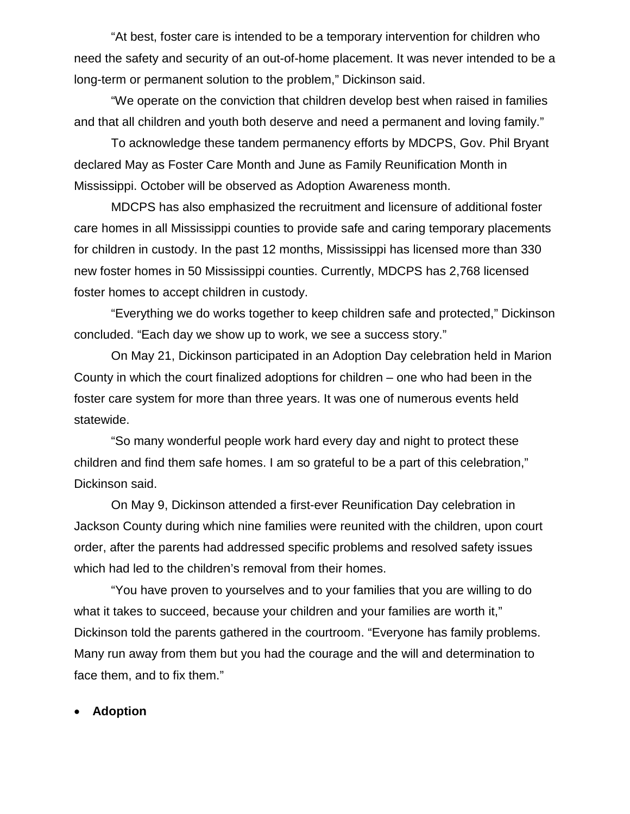"At best, foster care is intended to be a temporary intervention for children who need the safety and security of an out-of-home placement. It was never intended to be a long-term or permanent solution to the problem," Dickinson said.

"We operate on the conviction that children develop best when raised in families and that all children and youth both deserve and need a permanent and loving family."

To acknowledge these tandem permanency efforts by MDCPS, Gov. Phil Bryant declared May as Foster Care Month and June as Family Reunification Month in Mississippi. October will be observed as Adoption Awareness month.

MDCPS has also emphasized the recruitment and licensure of additional foster care homes in all Mississippi counties to provide safe and caring temporary placements for children in custody. In the past 12 months, Mississippi has licensed more than 330 new foster homes in 50 Mississippi counties. Currently, MDCPS has 2,768 licensed foster homes to accept children in custody.

"Everything we do works together to keep children safe and protected," Dickinson concluded. "Each day we show up to work, we see a success story."

On May 21, Dickinson participated in an Adoption Day celebration held in Marion County in which the court finalized adoptions for children – one who had been in the foster care system for more than three years. It was one of numerous events held statewide.

"So many wonderful people work hard every day and night to protect these children and find them safe homes. I am so grateful to be a part of this celebration," Dickinson said.

On May 9, Dickinson attended a first-ever Reunification Day celebration in Jackson County during which nine families were reunited with the children, upon court order, after the parents had addressed specific problems and resolved safety issues which had led to the children's removal from their homes.

"You have proven to yourselves and to your families that you are willing to do what it takes to succeed, because your children and your families are worth it," Dickinson told the parents gathered in the courtroom. "Everyone has family problems. Many run away from them but you had the courage and the will and determination to face them, and to fix them."

• **Adoption**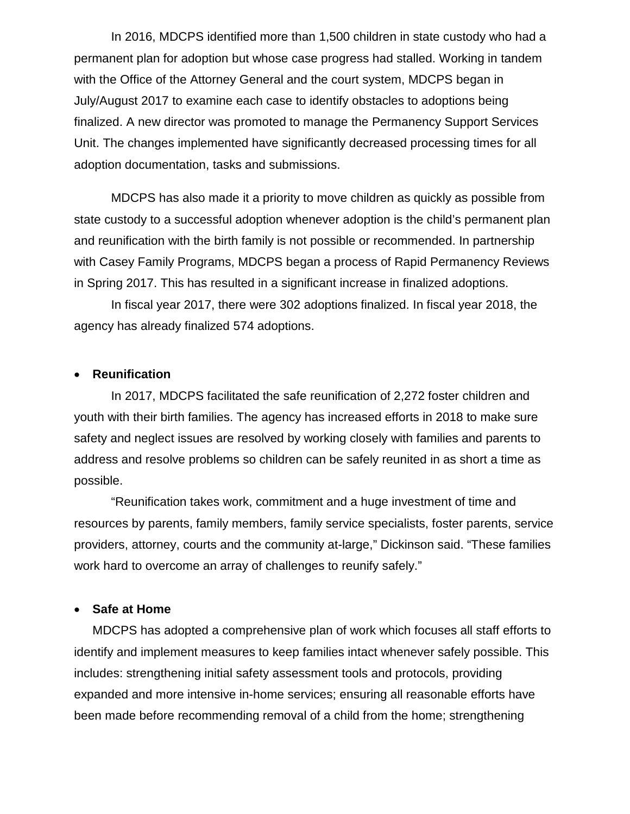In 2016, MDCPS identified more than 1,500 children in state custody who had a permanent plan for adoption but whose case progress had stalled. Working in tandem with the Office of the Attorney General and the court system, MDCPS began in July/August 2017 to examine each case to identify obstacles to adoptions being finalized. A new director was promoted to manage the Permanency Support Services Unit. The changes implemented have significantly decreased processing times for all adoption documentation, tasks and submissions.

MDCPS has also made it a priority to move children as quickly as possible from state custody to a successful adoption whenever adoption is the child's permanent plan and reunification with the birth family is not possible or recommended. In partnership with Casey Family Programs, MDCPS began a process of Rapid Permanency Reviews in Spring 2017. This has resulted in a significant increase in finalized adoptions.

In fiscal year 2017, there were 302 adoptions finalized. In fiscal year 2018, the agency has already finalized 574 adoptions.

## • **Reunification**

In 2017, MDCPS facilitated the safe reunification of 2,272 foster children and youth with their birth families. The agency has increased efforts in 2018 to make sure safety and neglect issues are resolved by working closely with families and parents to address and resolve problems so children can be safely reunited in as short a time as possible.

"Reunification takes work, commitment and a huge investment of time and resources by parents, family members, family service specialists, foster parents, service providers, attorney, courts and the community at-large," Dickinson said. "These families work hard to overcome an array of challenges to reunify safely."

## • **Safe at Home**

MDCPS has adopted a comprehensive plan of work which focuses all staff efforts to identify and implement measures to keep families intact whenever safely possible. This includes: strengthening initial safety assessment tools and protocols, providing expanded and more intensive in-home services; ensuring all reasonable efforts have been made before recommending removal of a child from the home; strengthening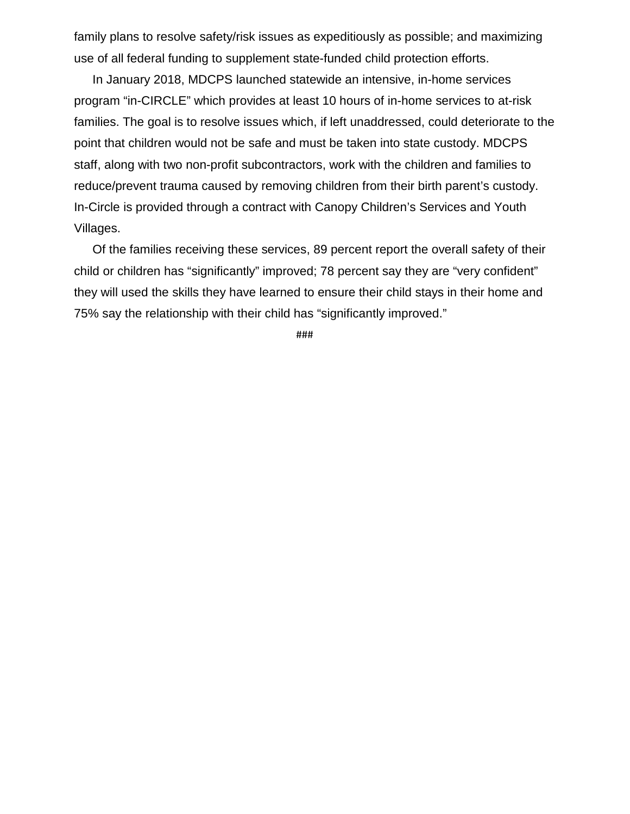family plans to resolve safety/risk issues as expeditiously as possible; and maximizing use of all federal funding to supplement state-funded child protection efforts.

In January 2018, MDCPS launched statewide an intensive, in-home services program "in-CIRCLE" which provides at least 10 hours of in-home services to at-risk families. The goal is to resolve issues which, if left unaddressed, could deteriorate to the point that children would not be safe and must be taken into state custody. MDCPS staff, along with two non-profit subcontractors, work with the children and families to reduce/prevent trauma caused by removing children from their birth parent's custody. In-Circle is provided through a contract with Canopy Children's Services and Youth Villages.

Of the families receiving these services, 89 percent report the overall safety of their child or children has "significantly" improved; 78 percent say they are "very confident" they will used the skills they have learned to ensure their child stays in their home and 75% say the relationship with their child has "significantly improved."

###